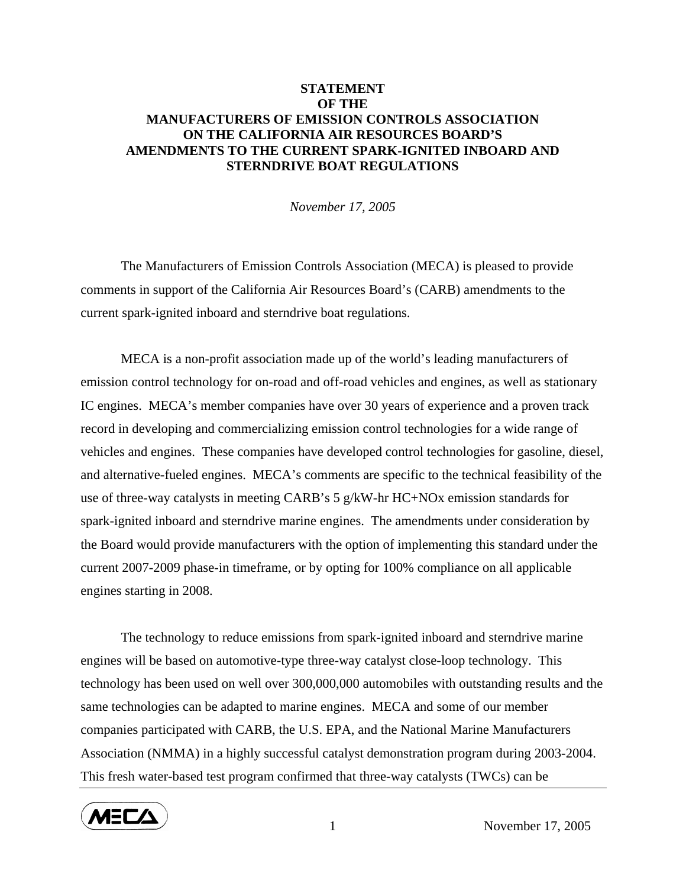## **STATEMENT OF THE MANUFACTURERS OF EMISSION CONTROLS ASSOCIATION ON THE CALIFORNIA AIR RESOURCES BOARD'S AMENDMENTS TO THE CURRENT SPARK-IGNITED INBOARD AND STERNDRIVE BOAT REGULATIONS**

*November 17, 2005* 

 The Manufacturers of Emission Controls Association (MECA) is pleased to provide comments in support of the California Air Resources Board's (CARB) amendments to the current spark-ignited inboard and sterndrive boat regulations.

MECA is a non-profit association made up of the world's leading manufacturers of emission control technology for on-road and off-road vehicles and engines, as well as stationary IC engines. MECA's member companies have over 30 years of experience and a proven track record in developing and commercializing emission control technologies for a wide range of vehicles and engines. These companies have developed control technologies for gasoline, diesel, and alternative-fueled engines. MECA's comments are specific to the technical feasibility of the use of three-way catalysts in meeting CARB's 5 g/kW-hr HC+NOx emission standards for spark-ignited inboard and sterndrive marine engines. The amendments under consideration by the Board would provide manufacturers with the option of implementing this standard under the current 2007-2009 phase-in timeframe, or by opting for 100% compliance on all applicable engines starting in 2008.

The technology to reduce emissions from spark-ignited inboard and sterndrive marine engines will be based on automotive-type three-way catalyst close-loop technology. This technology has been used on well over 300,000,000 automobiles with outstanding results and the same technologies can be adapted to marine engines. MECA and some of our member companies participated with CARB, the U.S. EPA, and the National Marine Manufacturers Association (NMMA) in a highly successful catalyst demonstration program during 2003-2004. This fresh water-based test program confirmed that three-way catalysts (TWCs) can be



1 November 17, 2005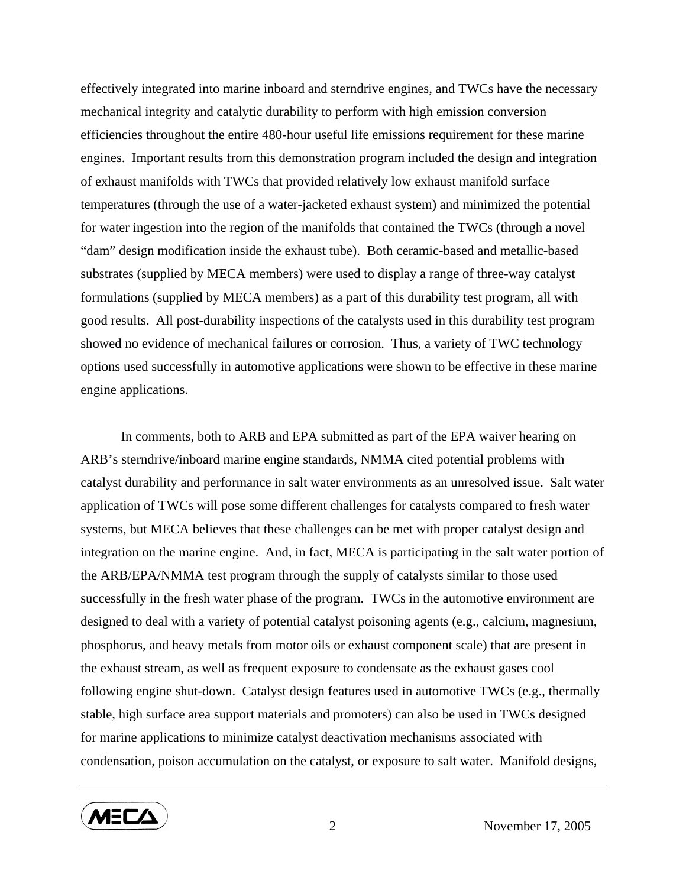effectively integrated into marine inboard and sterndrive engines, and TWCs have the necessary mechanical integrity and catalytic durability to perform with high emission conversion efficiencies throughout the entire 480-hour useful life emissions requirement for these marine engines. Important results from this demonstration program included the design and integration of exhaust manifolds with TWCs that provided relatively low exhaust manifold surface temperatures (through the use of a water-jacketed exhaust system) and minimized the potential for water ingestion into the region of the manifolds that contained the TWCs (through a novel "dam" design modification inside the exhaust tube). Both ceramic-based and metallic-based substrates (supplied by MECA members) were used to display a range of three-way catalyst formulations (supplied by MECA members) as a part of this durability test program, all with good results. All post-durability inspections of the catalysts used in this durability test program showed no evidence of mechanical failures or corrosion. Thus, a variety of TWC technology options used successfully in automotive applications were shown to be effective in these marine engine applications.

In comments, both to ARB and EPA submitted as part of the EPA waiver hearing on ARB's sterndrive/inboard marine engine standards, NMMA cited potential problems with catalyst durability and performance in salt water environments as an unresolved issue. Salt water application of TWCs will pose some different challenges for catalysts compared to fresh water systems, but MECA believes that these challenges can be met with proper catalyst design and integration on the marine engine. And, in fact, MECA is participating in the salt water portion of the ARB/EPA/NMMA test program through the supply of catalysts similar to those used successfully in the fresh water phase of the program. TWCs in the automotive environment are designed to deal with a variety of potential catalyst poisoning agents (e.g., calcium, magnesium, phosphorus, and heavy metals from motor oils or exhaust component scale) that are present in the exhaust stream, as well as frequent exposure to condensate as the exhaust gases cool following engine shut-down. Catalyst design features used in automotive TWCs (e.g., thermally stable, high surface area support materials and promoters) can also be used in TWCs designed for marine applications to minimize catalyst deactivation mechanisms associated with condensation, poison accumulation on the catalyst, or exposure to salt water. Manifold designs,